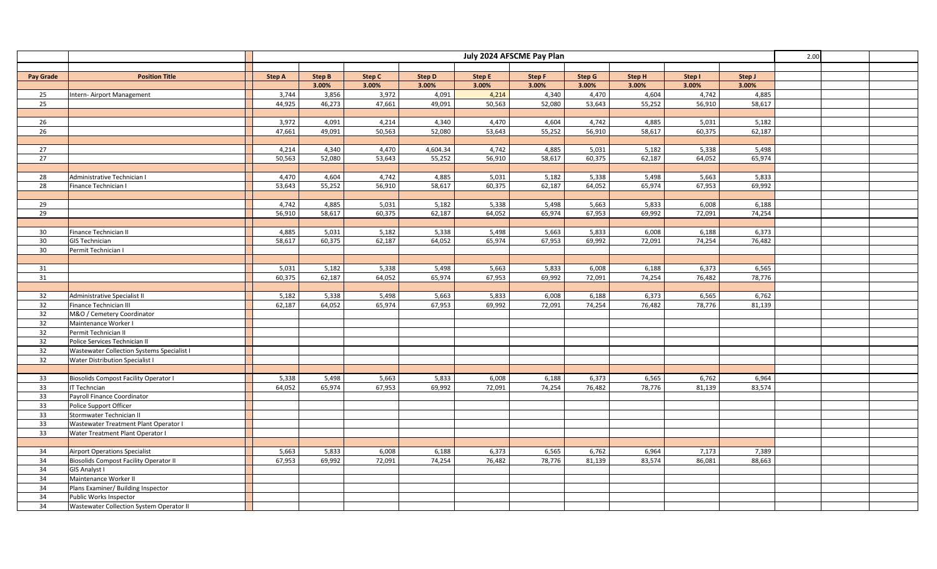| July 2024 AFSCME Pay Plan                                                                                                                                        |                                    |  |  |  |  |  |  |  |  |  |
|------------------------------------------------------------------------------------------------------------------------------------------------------------------|------------------------------------|--|--|--|--|--|--|--|--|--|
|                                                                                                                                                                  |                                    |  |  |  |  |  |  |  |  |  |
| <b>Step A</b><br><b>Step B</b><br>Step C<br><b>Step D</b><br>Step E<br>Step F<br>Step G<br>Step H<br><b>Pay Grade</b><br><b>Position Title</b>                   | Step I<br>Step J                   |  |  |  |  |  |  |  |  |  |
| 3.00%<br>3.00%<br>3.00%<br>3.00%<br>3.00%<br>3.00%<br>3.00%                                                                                                      | 3.00%<br>3.00%                     |  |  |  |  |  |  |  |  |  |
| 3,744<br>3,856<br>3,972<br>4,091<br>4,214<br>4,340<br>4,470<br>4,604<br>25<br>Intern- Airport Management                                                         | 4,742<br>4,885                     |  |  |  |  |  |  |  |  |  |
| 25<br>44,925<br>46,273<br>47,661<br>50,563<br>53,643<br>55,252<br>49,091<br>52,080                                                                               | 56,910<br>58,617                   |  |  |  |  |  |  |  |  |  |
|                                                                                                                                                                  |                                    |  |  |  |  |  |  |  |  |  |
| 3,972<br>4,091<br>4,214<br>4,470<br>4,604<br>4,742<br>4,885<br>26<br>4,340                                                                                       | 5,031<br>5,182                     |  |  |  |  |  |  |  |  |  |
| 49,091<br>50,563<br>53,643<br>55,252<br>56,910<br>58,617<br>26<br>47,661<br>52,080                                                                               | 60,375<br>62,187                   |  |  |  |  |  |  |  |  |  |
|                                                                                                                                                                  |                                    |  |  |  |  |  |  |  |  |  |
| 27<br>4,214<br>4,340<br>4,470<br>4,604.34<br>4,742<br>4,885<br>5,031<br>5,182                                                                                    | 5,338<br>5,498                     |  |  |  |  |  |  |  |  |  |
| 27<br>50,563<br>52,080<br>53,643<br>55,252<br>56,910<br>58,617<br>60,375<br>62,187                                                                               | 64,052<br>65,974                   |  |  |  |  |  |  |  |  |  |
|                                                                                                                                                                  |                                    |  |  |  |  |  |  |  |  |  |
| 28<br>4,470<br>4,604<br>4,742<br>4,885<br>5,182<br>5,338<br>5,498<br>5,031<br>Administrative Technician I                                                        | 5,663<br>5,833                     |  |  |  |  |  |  |  |  |  |
| 53,643<br>55,252<br>60,375<br>62,187<br>64,052<br>28<br>56,910<br>58,617<br>65,974<br>Finance Technician I                                                       | 67,953<br>69,992                   |  |  |  |  |  |  |  |  |  |
|                                                                                                                                                                  |                                    |  |  |  |  |  |  |  |  |  |
| 4,742<br>4,885<br>5,031<br>5,182<br>5,338<br>5,498<br>5,663<br>5,833<br>29                                                                                       | 6,008<br>6,188                     |  |  |  |  |  |  |  |  |  |
| 29<br>58,617<br>60,375<br>62,187<br>64,052<br>67,953<br>69,992<br>56,910<br>65,974                                                                               | 72,091<br>74,254                   |  |  |  |  |  |  |  |  |  |
|                                                                                                                                                                  |                                    |  |  |  |  |  |  |  |  |  |
| 5,663<br>30<br>4,885<br>5,031<br>5,182<br>5,338<br>5,498<br>5,833<br>6,008<br>Finance Technician II                                                              | 6,373<br>6,188<br>74,254           |  |  |  |  |  |  |  |  |  |
| 30<br>58,617<br>60,375<br>62,187<br>64,052<br>65,974<br>67,953<br>69,992<br>72,091<br><b>GIS Technician</b>                                                      | 76,482                             |  |  |  |  |  |  |  |  |  |
| 30 <sup>°</sup><br>Permit Technician I                                                                                                                           |                                    |  |  |  |  |  |  |  |  |  |
|                                                                                                                                                                  |                                    |  |  |  |  |  |  |  |  |  |
| 5,031<br>5,182<br>5,833<br>31<br>5,338<br>5,498<br>5,663<br>6,008<br>6,188<br>31<br>62,187<br>64,052<br>65,974<br>67,953<br>72,091<br>74,254<br>60,375<br>69,992 | 6,565<br>6,373<br>76,482<br>78,776 |  |  |  |  |  |  |  |  |  |
|                                                                                                                                                                  |                                    |  |  |  |  |  |  |  |  |  |
| 5,182<br>5,338<br>6,008<br>6,188                                                                                                                                 | 6,762                              |  |  |  |  |  |  |  |  |  |
| 32<br>Administrative Specialist II<br>5,498<br>5,663<br>5,833<br>6,373<br>64,052<br>72,091<br>74,254                                                             | 6,565                              |  |  |  |  |  |  |  |  |  |
| 32<br>62,187<br>65,974<br>67,953<br>69,992<br>76,482<br>Finance Technician III<br>32<br>M&O / Cemetery Coordinator                                               | 78,776<br>81,139                   |  |  |  |  |  |  |  |  |  |
|                                                                                                                                                                  |                                    |  |  |  |  |  |  |  |  |  |
| 32<br>Maintenance Worker I<br>32<br>Permit Technician II                                                                                                         |                                    |  |  |  |  |  |  |  |  |  |
| 32<br>Police Services Technician II                                                                                                                              |                                    |  |  |  |  |  |  |  |  |  |
| 32<br>Wastewater Collection Systems Specialist I                                                                                                                 |                                    |  |  |  |  |  |  |  |  |  |
| 32<br>Water Distribution Specialist I                                                                                                                            |                                    |  |  |  |  |  |  |  |  |  |
|                                                                                                                                                                  |                                    |  |  |  |  |  |  |  |  |  |
| 33<br><b>Biosolids Compost Facility Operator I</b><br>5,338<br>5,498<br>5,663<br>5,833<br>6,008<br>6,188<br>6,373<br>6,565                                       | 6,762<br>6,964                     |  |  |  |  |  |  |  |  |  |
| 64,052<br>65,974<br>67,953<br>72,091<br>76,482<br>78,776<br>33<br><b>IT Techncian</b><br>69,992<br>74,254                                                        | 83,574<br>81,139                   |  |  |  |  |  |  |  |  |  |
| 33<br>Payroll Finance Coordinator                                                                                                                                |                                    |  |  |  |  |  |  |  |  |  |
| 33<br>Police Support Officer                                                                                                                                     |                                    |  |  |  |  |  |  |  |  |  |
| 33<br>Stormwater Technician II                                                                                                                                   |                                    |  |  |  |  |  |  |  |  |  |
| 33<br>Wastewater Treatment Plant Operator I                                                                                                                      |                                    |  |  |  |  |  |  |  |  |  |
| 33<br>Water Treatment Plant Operator I                                                                                                                           |                                    |  |  |  |  |  |  |  |  |  |
|                                                                                                                                                                  |                                    |  |  |  |  |  |  |  |  |  |
| 5,663<br>5,833<br>6,565<br>34<br><b>Airport Operations Specialist</b><br>6,008<br>6,188<br>6,373<br>6,762<br>6,964                                               | 7,173<br>7,389                     |  |  |  |  |  |  |  |  |  |
| 34<br>67,953<br>69,992<br>72,091<br>74,254<br>76,482<br>78,776<br>81,139<br>83,574<br><b>Biosolids Compost Facility Operator II</b>                              | 86,081<br>88,663                   |  |  |  |  |  |  |  |  |  |
| 34<br>GIS Analyst I                                                                                                                                              |                                    |  |  |  |  |  |  |  |  |  |
| 34<br>Maintenance Worker II                                                                                                                                      |                                    |  |  |  |  |  |  |  |  |  |
| 34<br>Plans Examiner/ Building Inspector                                                                                                                         |                                    |  |  |  |  |  |  |  |  |  |
| 34<br>Public Works Inspector                                                                                                                                     |                                    |  |  |  |  |  |  |  |  |  |
| 34<br>Wastewater Collection System Operator II                                                                                                                   |                                    |  |  |  |  |  |  |  |  |  |